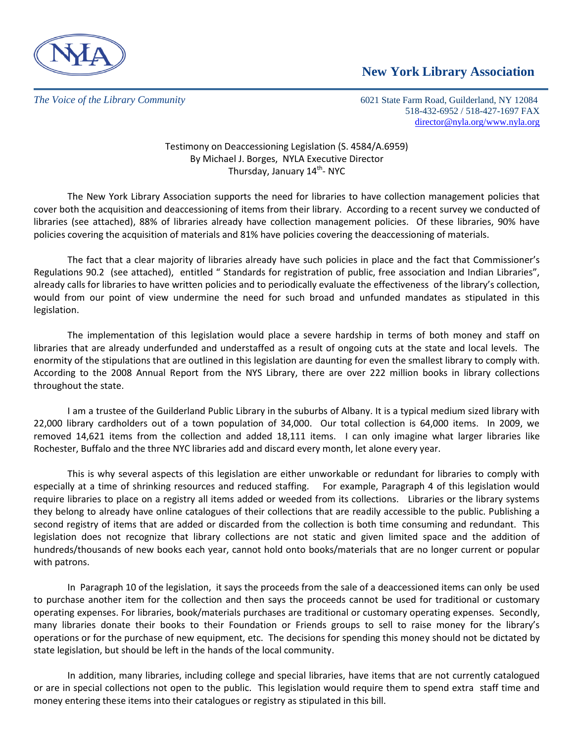

## **New York Library Association**

*The Voice of the Library Community* 6021 State Farm Road, Guilderland, NY 12084 518-432-6952 / 518-427-1697 FAX [director@nyla.org/www.nyla.org](mailto:director@nyla.org/www.nyla.org)

> Testimony on Deaccessioning Legislation (S. 4584/A.6959) By Michael J. Borges, NYLA Executive Director Thursday, January 14<sup>th</sup>- NYC

The New York Library Association supports the need for libraries to have collection management policies that cover both the acquisition and deaccessioning of items from their library. According to a recent survey we conducted of libraries (see attached), 88% of libraries already have collection management policies. Of these libraries, 90% have policies covering the acquisition of materials and 81% have policies covering the deaccessioning of materials.

The fact that a clear majority of libraries already have such policies in place and the fact that Commissioner's Regulations 90.2 (see attached), entitled " Standards for registration of public, free association and Indian Libraries", already calls for libraries to have written policies and to periodically evaluate the effectiveness of the library's collection, would from our point of view undermine the need for such broad and unfunded mandates as stipulated in this legislation.

The implementation of this legislation would place a severe hardship in terms of both money and staff on libraries that are already underfunded and understaffed as a result of ongoing cuts at the state and local levels. The enormity of the stipulations that are outlined in this legislation are daunting for even the smallest library to comply with. According to the 2008 Annual Report from the NYS Library, there are over 222 million books in library collections throughout the state.

I am a trustee of the Guilderland Public Library in the suburbs of Albany. It is a typical medium sized library with 22,000 library cardholders out of a town population of 34,000. Our total collection is 64,000 items. In 2009, we removed 14,621 items from the collection and added 18,111 items. I can only imagine what larger libraries like Rochester, Buffalo and the three NYC libraries add and discard every month, let alone every year.

This is why several aspects of this legislation are either unworkable or redundant for libraries to comply with especially at a time of shrinking resources and reduced staffing. For example, Paragraph 4 of this legislation would require libraries to place on a registry all items added or weeded from its collections. Libraries or the library systems they belong to already have online catalogues of their collections that are readily accessible to the public. Publishing a second registry of items that are added or discarded from the collection is both time consuming and redundant. This legislation does not recognize that library collections are not static and given limited space and the addition of hundreds/thousands of new books each year, cannot hold onto books/materials that are no longer current or popular with patrons.

In Paragraph 10 of the legislation, it says the proceeds from the sale of a deaccessioned items can only be used to purchase another item for the collection and then says the proceeds cannot be used for traditional or customary operating expenses. For libraries, book/materials purchases are traditional or customary operating expenses. Secondly, many libraries donate their books to their Foundation or Friends groups to sell to raise money for the library's operations or for the purchase of new equipment, etc. The decisions for spending this money should not be dictated by state legislation, but should be left in the hands of the local community.

In addition, many libraries, including college and special libraries, have items that are not currently catalogued or are in special collections not open to the public. This legislation would require them to spend extra staff time and money entering these items into their catalogues or registry as stipulated in this bill.